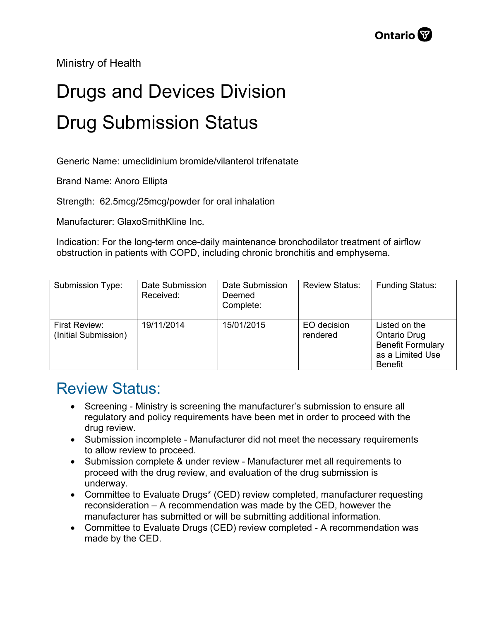Ministry of Health

## Drugs and Devices Division Drug Submission Status

Generic Name: umeclidinium bromide/vilanterol trifenatate

Brand Name: Anoro Ellipta

Strength: 62.5mcg/25mcg/powder for oral inhalation

Manufacturer: GlaxoSmithKline Inc.

Indication: For the long-term once-daily maintenance bronchodilator treatment of airflow obstruction in patients with COPD, including chronic bronchitis and emphysema.

| Submission Type:                      | Date Submission<br>Received: | Date Submission<br>Deemed<br>Complete: | <b>Review Status:</b>   | <b>Funding Status:</b>                                                                                 |
|---------------------------------------|------------------------------|----------------------------------------|-------------------------|--------------------------------------------------------------------------------------------------------|
| First Review:<br>(Initial Submission) | 19/11/2014                   | 15/01/2015                             | EO decision<br>rendered | Listed on the<br><b>Ontario Drug</b><br><b>Benefit Formulary</b><br>as a Limited Use<br><b>Benefit</b> |

## Review Status:

- Screening Ministry is screening the manufacturer's submission to ensure all regulatory and policy requirements have been met in order to proceed with the drug review.
- Submission incomplete Manufacturer did not meet the necessary requirements to allow review to proceed.
- Submission complete & under review Manufacturer met all requirements to proceed with the drug review, and evaluation of the drug submission is underway.
- Committee to Evaluate Drugs\* (CED) review completed, manufacturer requesting reconsideration – A recommendation was made by the CED, however the manufacturer has submitted or will be submitting additional information.
- Committee to Evaluate Drugs (CED) review completed A recommendation was made by the CED.